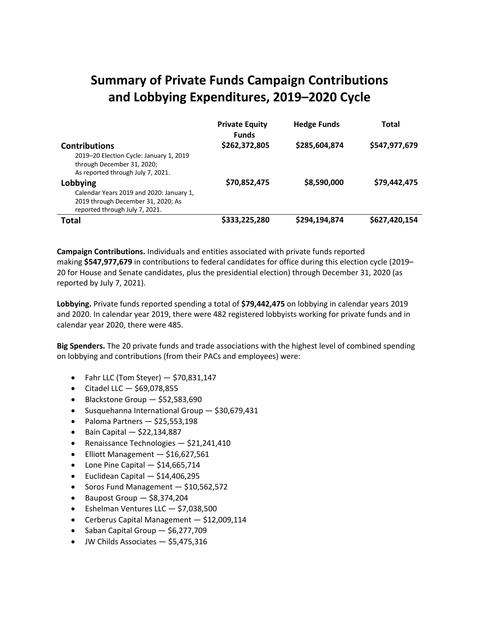# **Summary of Private Funds Campaign Contributions and Lobbying Expenditures, 2019–2020 Cycle**

|                                                                                                                                    | <b>Private Equity</b><br><b>Funds</b> | <b>Hedge Funds</b> | Total         |
|------------------------------------------------------------------------------------------------------------------------------------|---------------------------------------|--------------------|---------------|
| <b>Contributions</b><br>2019–20 Election Cycle: January 1, 2019<br>through December 31, 2020;<br>As reported through July 7, 2021. | \$262,372,805                         | \$285,604,874      | \$547,977,679 |
| Lobbying<br>Calendar Years 2019 and 2020: January 1,<br>2019 through December 31, 2020; As<br>reported through July 7, 2021.       | \$70,852,475                          | \$8,590,000        | \$79,442,475  |
| Total                                                                                                                              | \$333,225,280                         | \$294,194,874      | \$627,420,154 |

**Campaign Contributions.** Individuals and entities associated with private funds reported making **\$547,977,679** in contributions to federal candidates for office during this election cycle (2019– 20 for House and Senate candidates, plus the presidential election) through December 31, 2020 (as reported by July 7, 2021).

**Lobbying.** Private funds reported spending a total of **\$79,442,475** on lobbying in calendar years 2019 and 2020. In calendar year 2019, there were 482 registered lobbyists working for private funds and in calendar year 2020, there were 485.

**Big Spenders.** The 20 private funds and trade associations with the highest level of combined spending on lobbying and contributions (from their PACs and employees) were:

- Fahr LLC (Tom Steyer)  $-$  \$70,831,147
- $\bullet$  Citadel LLC  $-$  \$69,078,855
- Blackstone Group \$52,583,690
- Susquehanna International Group \$30,679,431
- Paloma Partners  $-$  \$25,553,198
- $\bullet$  Bain Capital  $-$  \$22,134,887
- Renaissance Technologies \$21,241,410
- Elliott Management \$16,627,561
- $\bullet$  Lone Pine Capital  $-$  \$14,665,714
- $\bullet$  Euclidean Capital  $-$  \$14,406,295
- Soros Fund Management \$10,562,572
- Baupost Group \$8,374,204
- Eshelman Ventures LLC \$7,038,500
- Cerberus Capital Management \$12,009,114
- Saban Capital Group \$6,277,709
- JW Childs Associates \$5,475,316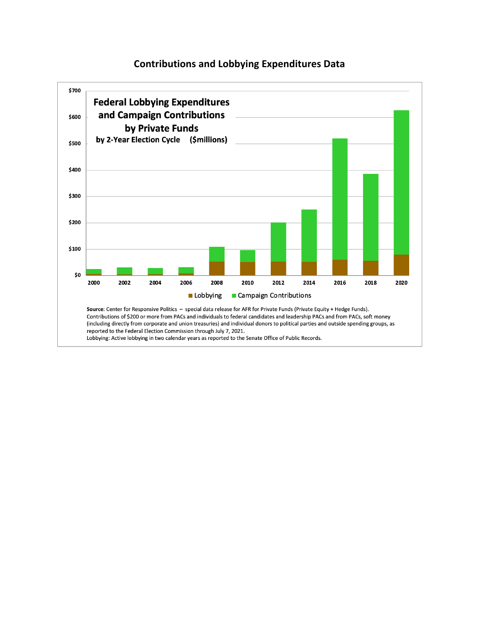#### **Contributions and Lobbying Expenditures Data**

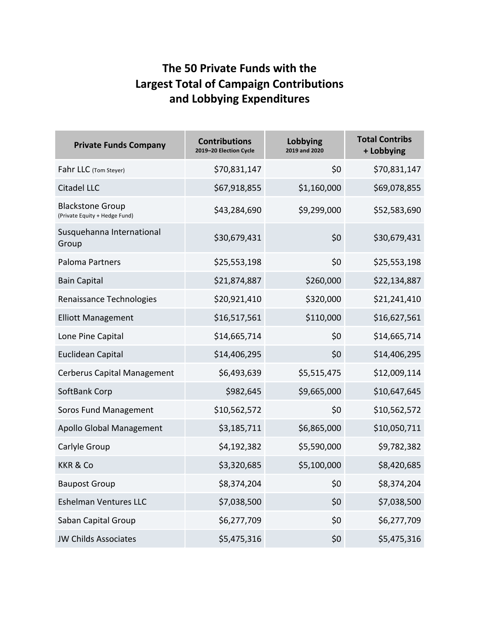### **The 50 Private Funds with the Largest Total of Campaign Contributions and Lobbying Expenditures**

| <b>Private Funds Company</b>                             | <b>Contributions</b><br>2019-20 Election Cycle | Lobbying<br>2019 and 2020 | <b>Total Contribs</b><br>+ Lobbying |
|----------------------------------------------------------|------------------------------------------------|---------------------------|-------------------------------------|
| Fahr LLC (Tom Steyer)                                    | \$70,831,147                                   | \$0                       | \$70,831,147                        |
| <b>Citadel LLC</b>                                       | \$67,918,855                                   | \$1,160,000               | \$69,078,855                        |
| <b>Blackstone Group</b><br>(Private Equity + Hedge Fund) | \$43,284,690                                   | \$9,299,000               | \$52,583,690                        |
| Susquehanna International<br>Group                       | \$30,679,431                                   | \$0                       | \$30,679,431                        |
| <b>Paloma Partners</b>                                   | \$25,553,198                                   | \$0                       | \$25,553,198                        |
| <b>Bain Capital</b>                                      | \$21,874,887                                   | \$260,000                 | \$22,134,887                        |
| Renaissance Technologies                                 | \$20,921,410                                   | \$320,000                 | \$21,241,410                        |
| <b>Elliott Management</b>                                | \$16,517,561                                   | \$110,000                 | \$16,627,561                        |
| Lone Pine Capital                                        | \$14,665,714                                   | \$0                       | \$14,665,714                        |
| <b>Euclidean Capital</b>                                 | \$14,406,295                                   | \$0                       | \$14,406,295                        |
| <b>Cerberus Capital Management</b>                       | \$6,493,639                                    | \$5,515,475               | \$12,009,114                        |
| SoftBank Corp                                            | \$982,645                                      | \$9,665,000               | \$10,647,645                        |
| Soros Fund Management                                    | \$10,562,572                                   | \$0                       | \$10,562,572                        |
| Apollo Global Management                                 | \$3,185,711                                    | \$6,865,000               | \$10,050,711                        |
| Carlyle Group                                            | \$4,192,382                                    | \$5,590,000               | \$9,782,382                         |
| <b>KKR &amp; Co</b>                                      | \$3,320,685                                    | \$5,100,000               | \$8,420,685                         |
| <b>Baupost Group</b>                                     | \$8,374,204                                    | Ş0                        | \$8,374,204                         |
| <b>Eshelman Ventures LLC</b>                             | \$7,038,500                                    | \$0                       | \$7,038,500                         |
| Saban Capital Group                                      | \$6,277,709                                    | \$0                       | \$6,277,709                         |
| <b>JW Childs Associates</b>                              | \$5,475,316                                    | \$0                       | \$5,475,316                         |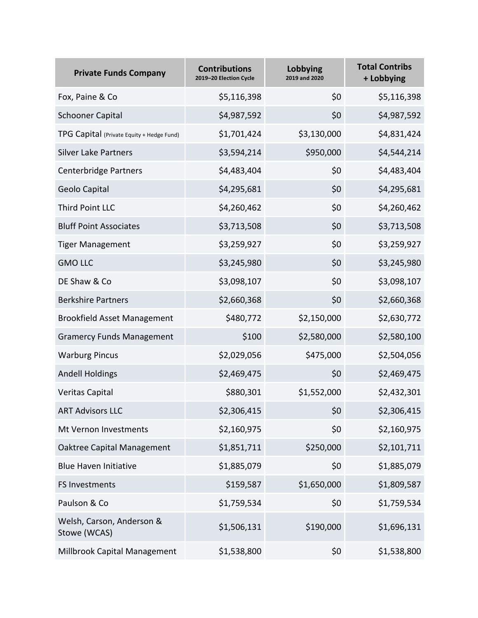| <b>Private Funds Company</b>              | <b>Contributions</b><br>2019-20 Election Cycle | Lobbying<br>2019 and 2020 | <b>Total Contribs</b><br>+ Lobbying |
|-------------------------------------------|------------------------------------------------|---------------------------|-------------------------------------|
| Fox, Paine & Co                           | \$5,116,398                                    | \$0                       | \$5,116,398                         |
| <b>Schooner Capital</b>                   | \$4,987,592                                    | \$0                       | \$4,987,592                         |
| TPG Capital (Private Equity + Hedge Fund) | \$1,701,424                                    | \$3,130,000               | \$4,831,424                         |
| <b>Silver Lake Partners</b>               | \$3,594,214                                    | \$950,000                 | \$4,544,214                         |
| <b>Centerbridge Partners</b>              | \$4,483,404                                    | \$0                       | \$4,483,404                         |
| Geolo Capital                             | \$4,295,681                                    | \$0                       | \$4,295,681                         |
| Third Point LLC                           | \$4,260,462                                    | \$0                       | \$4,260,462                         |
| <b>Bluff Point Associates</b>             | \$3,713,508                                    | \$0                       | \$3,713,508                         |
| <b>Tiger Management</b>                   | \$3,259,927                                    | \$0                       | \$3,259,927                         |
| <b>GMO LLC</b>                            | \$3,245,980                                    | \$0                       | \$3,245,980                         |
| DE Shaw & Co                              | \$3,098,107                                    | \$0                       | \$3,098,107                         |
| <b>Berkshire Partners</b>                 | \$2,660,368                                    | \$0                       | \$2,660,368                         |
| <b>Brookfield Asset Management</b>        | \$480,772                                      | \$2,150,000               | \$2,630,772                         |
| <b>Gramercy Funds Management</b>          | \$100                                          | \$2,580,000               | \$2,580,100                         |
| <b>Warburg Pincus</b>                     | \$2,029,056                                    | \$475,000                 | \$2,504,056                         |
| <b>Andell Holdings</b>                    | \$2,469,475                                    | \$0                       | \$2,469,475                         |
| <b>Veritas Capital</b>                    | \$880,301                                      | \$1,552,000               | \$2,432,301                         |
| <b>ART Advisors LLC</b>                   | \$2,306,415                                    | \$0                       | \$2,306,415                         |
| Mt Vernon Investments                     | \$2,160,975                                    | \$0                       | \$2,160,975                         |
| Oaktree Capital Management                | \$1,851,711                                    | \$250,000                 | \$2,101,711                         |
| <b>Blue Haven Initiative</b>              | \$1,885,079                                    | \$0                       | \$1,885,079                         |
| FS Investments                            | \$159,587                                      | \$1,650,000               | \$1,809,587                         |
| Paulson & Co                              | \$1,759,534                                    | \$0                       | \$1,759,534                         |
| Welsh, Carson, Anderson &<br>Stowe (WCAS) | \$1,506,131                                    | \$190,000                 | \$1,696,131                         |
| Millbrook Capital Management              | \$1,538,800                                    | \$0                       | \$1,538,800                         |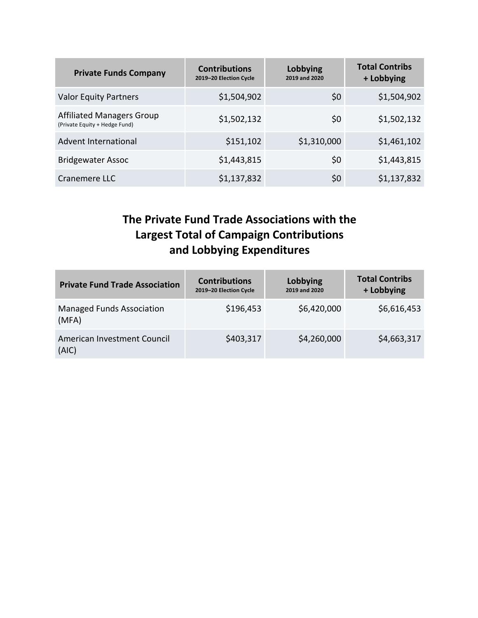| <b>Private Funds Company</b>                                      | <b>Contributions</b><br>2019-20 Election Cycle | Lobbying<br>2019 and 2020 | <b>Total Contribs</b><br>+ Lobbying |
|-------------------------------------------------------------------|------------------------------------------------|---------------------------|-------------------------------------|
| <b>Valor Equity Partners</b>                                      | \$1,504,902                                    | \$0                       | \$1,504,902                         |
| <b>Affiliated Managers Group</b><br>(Private Equity + Hedge Fund) | \$1,502,132                                    | \$0                       | \$1,502,132                         |
| Advent International                                              | \$151,102                                      | \$1,310,000               | \$1,461,102                         |
| <b>Bridgewater Assoc</b>                                          | \$1,443,815                                    | \$0                       | \$1,443,815                         |
| Cranemere LLC                                                     | \$1,137,832                                    | \$0                       | \$1,137,832                         |

### **The Private Fund Trade Associations with the Largest Total of Campaign Contributions and Lobbying Expenditures**

| <b>Private Fund Trade Association</b>     | <b>Contributions</b><br>2019-20 Election Cycle | Lobbying<br>2019 and 2020 | <b>Total Contribs</b><br>+ Lobbying |
|-------------------------------------------|------------------------------------------------|---------------------------|-------------------------------------|
| <b>Managed Funds Association</b><br>(MFA) | \$196,453                                      | \$6,420,000               | \$6,616,453                         |
| American Investment Council<br>(AIC)      | \$403,317                                      | \$4,260,000               | \$4,663,317                         |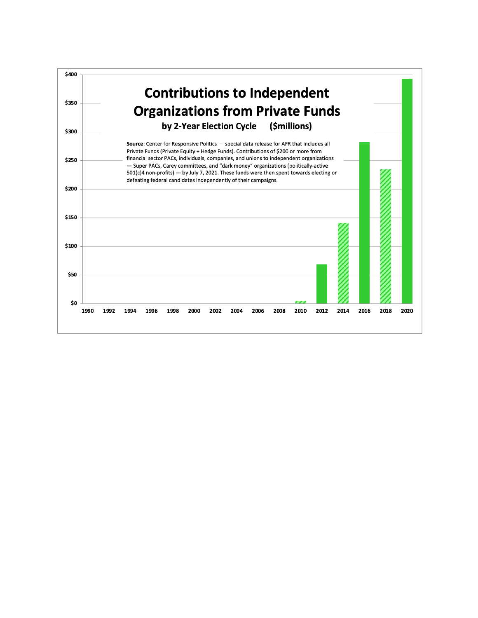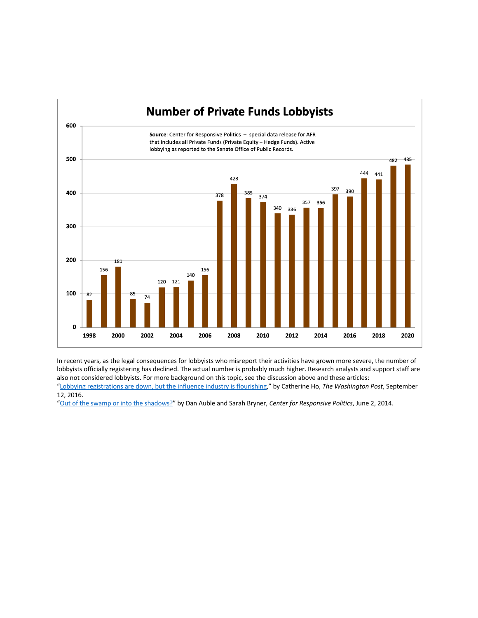

In recent years, as the legal consequences for lobbyists who misreport their activities have grown more severe, the number of lobbyists officially registering has declined. The actual number is probably much higher. Research analysts and support staff are also not considered lobbyists. For more background on this topic, see the discussion above and these articles:

"Lobbying registrations are down, but the influence industry is flourishing," by Catherine Ho, *The Washington Post*, September 12, 2016.

"Out of the swamp or into the shadows?" by Dan Auble and Sarah Bryner, *Center for Responsive Politics*, June 2, 2014.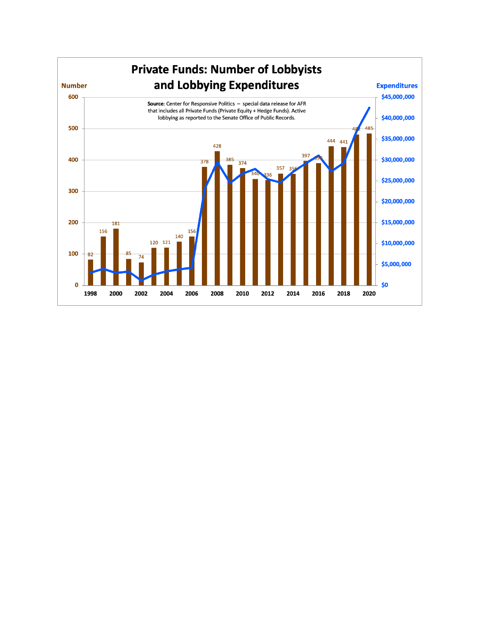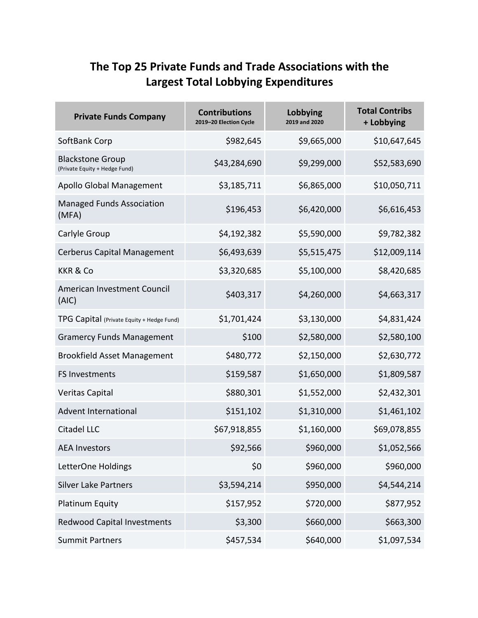## **The Top 25 Private Funds and Trade Associations with the Largest Total Lobbying Expenditures**

| <b>Private Funds Company</b>                             | <b>Contributions</b><br>2019-20 Election Cycle | Lobbying<br>2019 and 2020 | <b>Total Contribs</b><br>+ Lobbying |
|----------------------------------------------------------|------------------------------------------------|---------------------------|-------------------------------------|
| SoftBank Corp                                            | \$982,645                                      | \$9,665,000               | \$10,647,645                        |
| <b>Blackstone Group</b><br>(Private Equity + Hedge Fund) | \$43,284,690                                   | \$9,299,000               | \$52,583,690                        |
| Apollo Global Management                                 | \$3,185,711                                    | \$6,865,000               | \$10,050,711                        |
| <b>Managed Funds Association</b><br>(MFA)                | \$196,453                                      | \$6,420,000               | \$6,616,453                         |
| Carlyle Group                                            | \$4,192,382                                    | \$5,590,000               | \$9,782,382                         |
| <b>Cerberus Capital Management</b>                       | \$6,493,639                                    | \$5,515,475               | \$12,009,114                        |
| <b>KKR &amp; Co</b>                                      | \$3,320,685                                    | \$5,100,000               | \$8,420,685                         |
| American Investment Council<br>(AIC)                     | \$403,317                                      | \$4,260,000               | \$4,663,317                         |
| TPG Capital (Private Equity + Hedge Fund)                | \$1,701,424                                    | \$3,130,000               | \$4,831,424                         |
| <b>Gramercy Funds Management</b>                         | \$100                                          | \$2,580,000               | \$2,580,100                         |
| <b>Brookfield Asset Management</b>                       | \$480,772                                      | \$2,150,000               | \$2,630,772                         |
| <b>FS Investments</b>                                    | \$159,587                                      | \$1,650,000               | \$1,809,587                         |
| Veritas Capital                                          | \$880,301                                      | \$1,552,000               | \$2,432,301                         |
| <b>Advent International</b>                              | \$151,102                                      | \$1,310,000               | \$1,461,102                         |
| <b>Citadel LLC</b>                                       | \$67,918,855                                   | \$1,160,000               | \$69,078,855                        |
| <b>AEA Investors</b>                                     | \$92,566                                       | \$960,000                 | \$1,052,566                         |
| LetterOne Holdings                                       | \$0                                            | \$960,000                 | \$960,000                           |
| <b>Silver Lake Partners</b>                              | \$3,594,214                                    | \$950,000                 | \$4,544,214                         |
| Platinum Equity                                          | \$157,952                                      | \$720,000                 | \$877,952                           |
| <b>Redwood Capital Investments</b>                       | \$3,300                                        | \$660,000                 | \$663,300                           |
| <b>Summit Partners</b>                                   | \$457,534                                      | \$640,000                 | \$1,097,534                         |